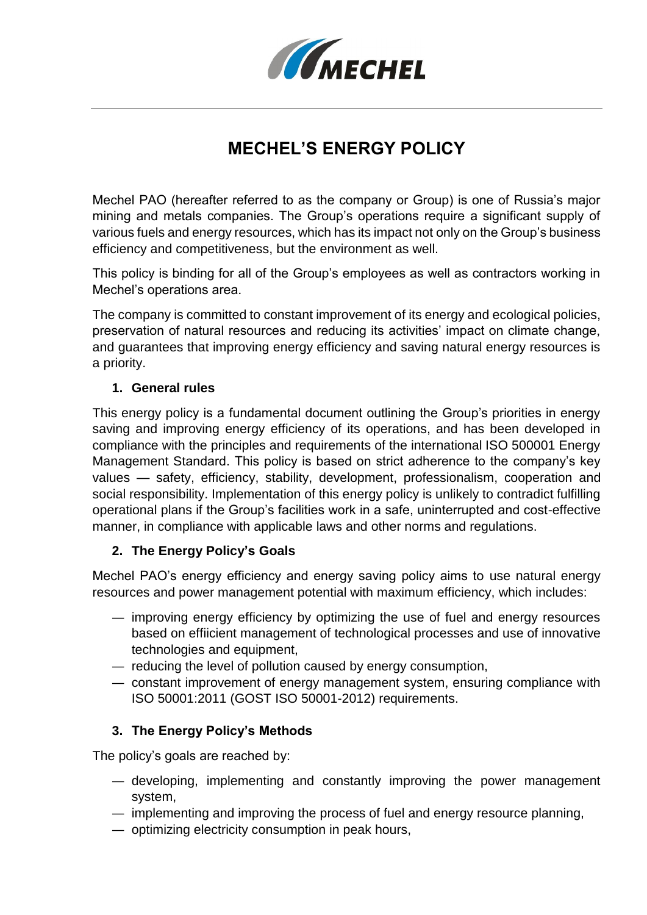

# **MECHEL'S ENERGY POLICY**

Mechel PAO (hereafter referred to as the company or Group) is one of Russia's major mining and metals companies. The Group's operations require a significant supply of various fuels and energy resources, which has its impact not only on the Group's business efficiency and competitiveness, but the environment as well.

This policy is binding for all of the Group's employees as well as contractors working in Mechel's operations area.

The company is committed to constant improvement of its energy and ecological policies, preservation of natural resources and reducing its activities' impact on climate change, and guarantees that improving energy efficiency and saving natural energy resources is a priority.

## **1. General rules**

This energy policy is a fundamental document outlining the Group's priorities in energy saving and improving energy efficiency of its operations, and has been developed in compliance with the principles and requirements of the international ISO 500001 Energy Management Standard. This policy is based on strict adherence to the company's key values — safety, efficiency, stability, development, professionalism, cooperation and social responsibility. Implementation of this energy policy is unlikely to contradict fulfilling operational plans if the Group's facilities work in a safe, uninterrupted and cost-effective manner, in compliance with applicable laws and other norms and regulations.

## **2. The Energy Policy's Goals**

Mechel PAO's energy efficiency and energy saving policy aims to use natural energy resources and power management potential with maximum efficiency, which includes:

- improving energy efficiency by optimizing the use of fuel and energy resources based on effiicient management of technological processes and use of innovative technologies and equipment,
- reducing the level of pollution caused by energy consumption,
- constant improvement of energy management system, ensuring compliance with ISO 50001:2011 (GOST ISO 50001-2012) requirements.

## **3. The Energy Policy's Methods**

The policy's goals are reached by:

- developing, implementing and constantly improving the power management system,
- implementing and improving the process of fuel and energy resource planning,
- optimizing electricity consumption in peak hours,